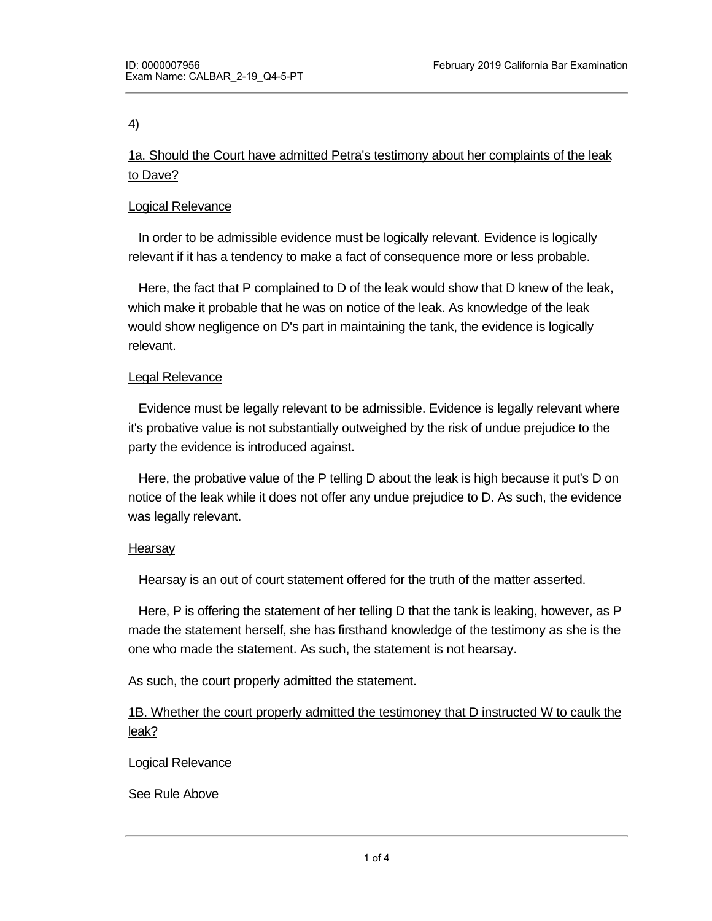4)

1a. Should the Court have admitted Petra's testimony about her complaints of the leak to Dave?

# Logical Relevance

 In order to be admissible evidence must be logically relevant. Evidence is logically relevant if it has a tendency to make a fact of consequence more or less probable.

 Here, the fact that P complained to D of the leak would show that D knew of the leak, which make it probable that he was on notice of the leak. As knowledge of the leak would show negligence on D's part in maintaining the tank, the evidence is logically relevant.

## Legal Relevance

 Evidence must be legally relevant to be admissible. Evidence is legally relevant where it's probative value is not substantially outweighed by the risk of undue prejudice to the party the evidence is introduced against.

 Here, the probative value of the P telling D about the leak is high because it put's D on notice of the leak while it does not offer any undue prejudice to D. As such, the evidence was legally relevant.

## Hearsay

Hearsay is an out of court statement offered for the truth of the matter asserted.

 Here, P is offering the statement of her telling D that the tank is leaking, however, as P made the statement herself, she has firsthand knowledge of the testimony as she is the one who made the statement. As such, the statement is not hearsay.

As such, the court properly admitted the statement.

1B. Whether the court properly admitted the testimoney that D instructed W to caulk the leak?

## Logical Relevance

See Rule Above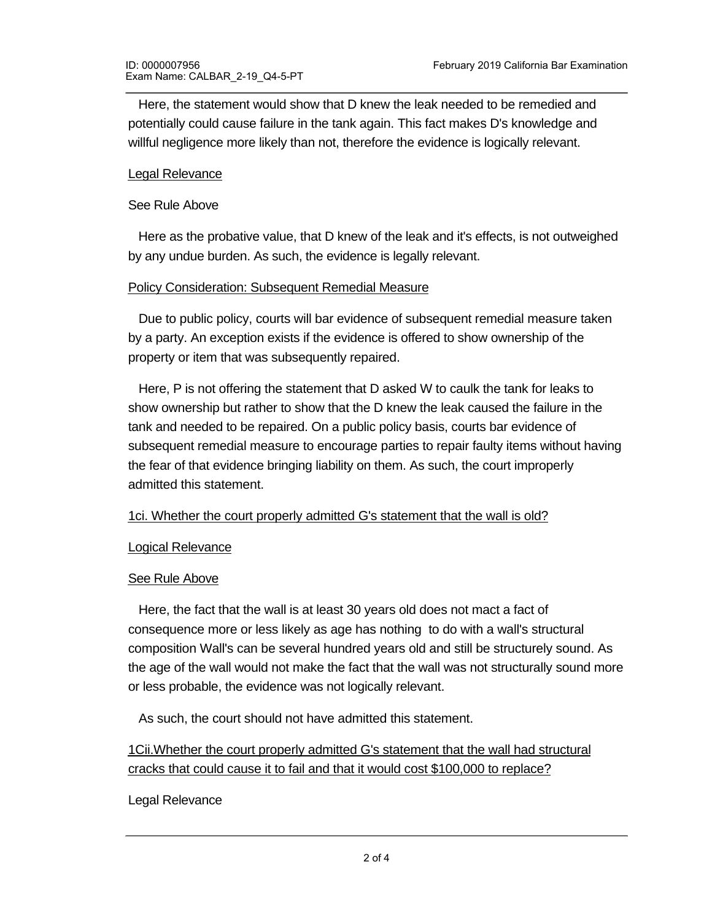Here, the statement would show that D knew the leak needed to be remedied and potentially could cause failure in the tank again. This fact makes D's knowledge and willful negligence more likely than not, therefore the evidence is logically relevant.

#### Legal Relevance

## See Rule Above

 Here as the probative value, that D knew of the leak and it's effects, is not outweighed by any undue burden. As such, the evidence is legally relevant.

## Policy Consideration: Subsequent Remedial Measure

 Due to public policy, courts will bar evidence of subsequent remedial measure taken by a party. An exception exists if the evidence is offered to show ownership of the property or item that was subsequently repaired.

 Here, P is not offering the statement that D asked W to caulk the tank for leaks to show ownership but rather to show that the D knew the leak caused the failure in the tank and needed to be repaired. On a public policy basis, courts bar evidence of subsequent remedial measure to encourage parties to repair faulty items without having the fear of that evidence bringing liability on them. As such, the court improperly admitted this statement.

## 1ci. Whether the court properly admitted G's statement that the wall is old?

#### Logical Relevance

## See Rule Above

 Here, the fact that the wall is at least 30 years old does not mact a fact of consequence more or less likely as age has nothing to do with a wall's structural composition Wall's can be several hundred years old and still be structurely sound. As the age of the wall would not make the fact that the wall was not structurally sound more or less probable, the evidence was not logically relevant.

As such, the court should not have admitted this statement.

1Cii.Whether the court properly admitted G's statement that the wall had structural cracks that could cause it to fail and that it would cost \$100,000 to replace?

## Legal Relevance

See Rule Above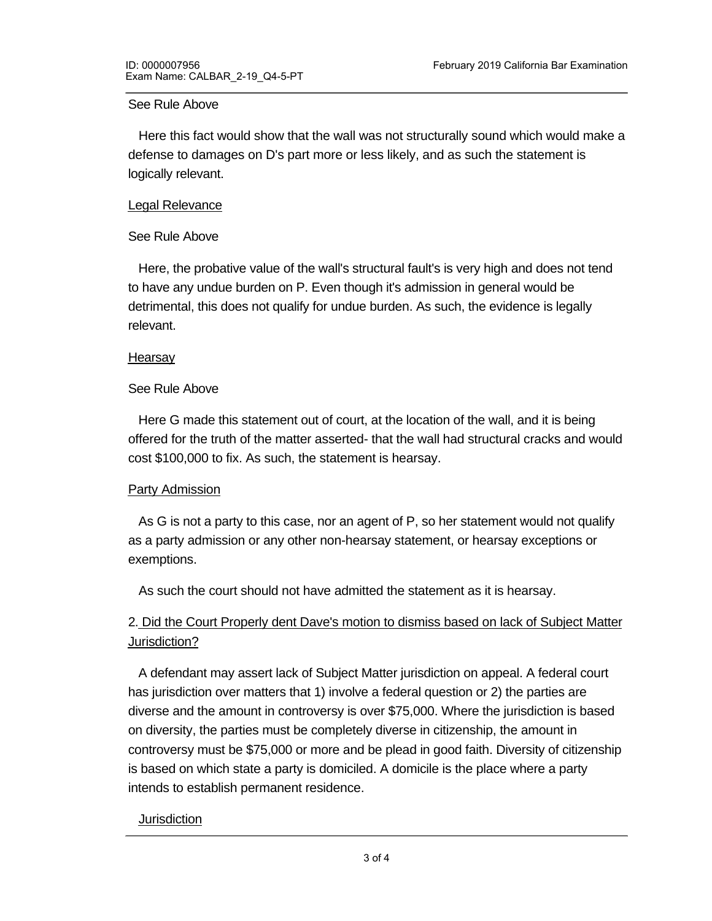#### See Rule Above

 Here this fact would show that the wall was not structurally sound which would make a defense to damages on D's part more or less likely, and as such the statement is logically relevant.

## Legal Relevance

## See Rule Above

 Here, the probative value of the wall's structural fault's is very high and does not tend to have any undue burden on P. Even though it's admission in general would be detrimental, this does not qualify for undue burden. As such, the evidence is legally relevant.

#### **Hearsay**

#### See Rule Above

 Here G made this statement out of court, at the location of the wall, and it is being offered for the truth of the matter asserted- that the wall had structural cracks and would cost \$100,000 to fix. As such, the statement is hearsay.

## Party Admission

 As G is not a party to this case, nor an agent of P, so her statement would not qualify as a party admission or any other non-hearsay statement, or hearsay exceptions or exemptions.

As such the court should not have admitted the statement as it is hearsay.

# 2. Did the Court Properly dent Dave's motion to dismiss based on lack of Subject Matter Jurisdiction?

 A defendant may assert lack of Subject Matter jurisdiction on appeal. A federal court has jurisdiction over matters that 1) involve a federal question or 2) the parties are diverse and the amount in controversy is over \$75,000. Where the jurisdiction is based on diversity, the parties must be completely diverse in citizenship, the amount in controversy must be \$75,000 or more and be plead in good faith. Diversity of citizenship is based on which state a party is domiciled. A domicile is the place where a party intends to establish permanent residence.

#### **Jurisdiction**